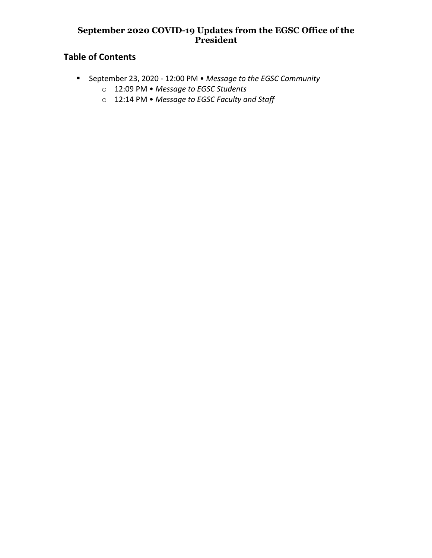### **September 2020 COVID-19 Updates from the EGSC Office of the President**

# **Table of Contents**

- § September 23, 2020 12:00 PM *Message to the EGSC Community*
	- o 12:09 PM *Message to EGSC Students*
	- o 12:14 PM *Message to EGSC Faculty and Staff*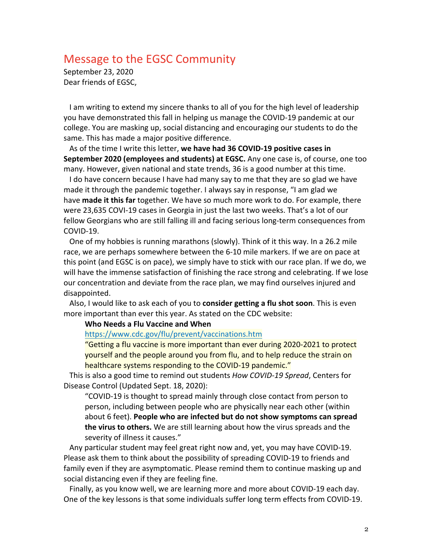## Message to the EGSC Community

September 23, 2020 Dear friends of EGSC,

I am writing to extend my sincere thanks to all of you for the high level of leadership you have demonstrated this fall in helping us manage the COVID-19 pandemic at our college. You are masking up, social distancing and encouraging our students to do the same. This has made a major positive difference.

As of the time I write this letter, **we have had 36 COVID-19 positive cases in September 2020 (employees and students) at EGSC.** Any one case is, of course, one too many. However, given national and state trends, 36 is a good number at this time.

I do have concern because I have had many say to me that they are so glad we have made it through the pandemic together. I always say in response, "I am glad we have **made it this far** together. We have so much more work to do. For example, there were 23,635 COVI-19 cases in Georgia in just the last two weeks. That's a lot of our fellow Georgians who are still falling ill and facing serious long-term consequences from COVID-19.

One of my hobbies is running marathons (slowly). Think of it this way. In a 26.2 mile race, we are perhaps somewhere between the 6-10 mile markers. If we are on pace at this point (and EGSC is on pace), we simply have to stick with our race plan. If we do, we will have the immense satisfaction of finishing the race strong and celebrating. If we lose our concentration and deviate from the race plan, we may find ourselves injured and disappointed.

Also, I would like to ask each of you to **consider getting a flu shot soon**. This is even more important than ever this year. As stated on the CDC website:

**Who Needs a Flu Vaccine and When**

#### https://www.cdc.gov/flu/prevent/vaccinations.htm

"Getting a flu vaccine is more important than ever during 2020-2021 to protect yourself and the people around you from flu, and to help reduce the strain on healthcare systems responding to the COVID-19 pandemic."

This is also a good time to remind out students *How COVID-19 Spread*, Centers for Disease Control (Updated Sept. 18, 2020):

"COVID-19 is thought to spread mainly through close contact from person to person, including between people who are physically near each other (within about 6 feet). **People who are infected but do not show symptoms can spread the virus to others.** We are still learning about how the virus spreads and the severity of illness it causes."

Any particular student may feel great right now and, yet, you may have COVID-19. Please ask them to think about the possibility of spreading COVID-19 to friends and family even if they are asymptomatic. Please remind them to continue masking up and social distancing even if they are feeling fine.

Finally, as you know well, we are learning more and more about COVID-19 each day. One of the key lessons is that some individuals suffer long term effects from COVID-19.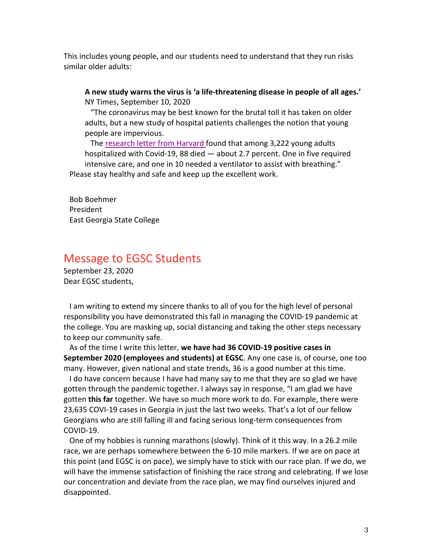This includes young people, and our students need to understand that they run risks similar older adults:

**A new study warns the virus is 'a life-threatening disease in people of all ages.'** NY Times, September 10, 2020

"The coronavirus may be best known for the brutal toll it has taken on older adults, but a new study of hospital patients challenges the notion that young people are impervious.

The research letter from Harvard found that among 3,222 young adults hospitalized with Covid-19, 88 died — about 2.7 percent. One in five required intensive care, and one in 10 needed a ventilator to assist with breathing." Please stay healthy and safe and keep up the excellent work.

Bob Boehmer President East Georgia State College

## Message to EGSC Students

September 23, 2020 Dear EGSC students,

I am writing to extend my sincere thanks to all of you for the high level of personal responsibility you have demonstrated this fall in managing the COVID-19 pandemic at the college. You are masking up, social distancing and taking the other steps necessary to keep our community safe.

As of the time I write this letter, **we have had 36 COVID-19 positive cases in September 2020 (employees and students) at EGSC**. Any one case is, of course, one too many. However, given national and state trends, 36 is a good number at this time.

I do have concern because I have had many say to me that they are so glad we have gotten through the pandemic together. I always say in response, "I am glad we have gotten **this far** together. We have so much more work to do. For example, there were 23,635 COVI-19 cases in Georgia in just the last two weeks. That's a lot of our fellow Georgians who are still falling ill and facing serious long-term consequences from COVID-19.

One of my hobbies is running marathons (slowly). Think of it this way. In a 26.2 mile race, we are perhaps somewhere between the 6-10 mile markers. If we are on pace at this point (and EGSC is on pace), we simply have to stick with our race plan. If we do, we will have the immense satisfaction of finishing the race strong and celebrating. If we lose our concentration and deviate from the race plan, we may find ourselves injured and disappointed.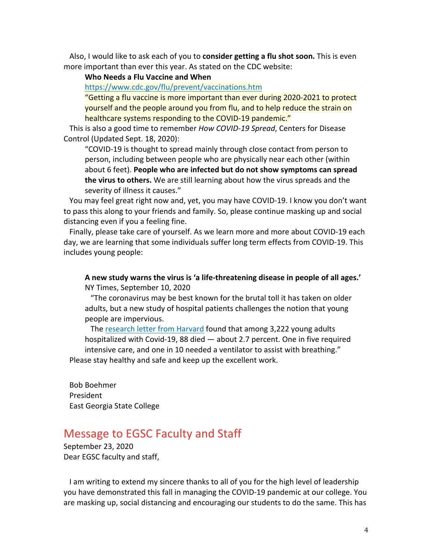Also, I would like to ask each of you to **consider getting a flu shot soon.** This is even more important than ever this year. As stated on the CDC website:

#### **Who Needs a Flu Vaccine and When**

https://www.cdc.gov/flu/prevent/vaccinations.htm

"Getting a flu vaccine is more important than ever during 2020-2021 to protect yourself and the people around you from flu, and to help reduce the strain on healthcare systems responding to the COVID-19 pandemic."

This is also a good time to remember *How COVID-19 Spread*, Centers for Disease Control (Updated Sept. 18, 2020):

"COVID-19 is thought to spread mainly through close contact from person to person, including between people who are physically near each other (within about 6 feet). **People who are infected but do not show symptoms can spread the virus to others.** We are still learning about how the virus spreads and the severity of illness it causes."

You may feel great right now and, yet, you may have COVID-19. I know you don't want to pass this along to your friends and family. So, please continue masking up and social distancing even if you a feeling fine.

Finally, please take care of yourself. As we learn more and more about COVID-19 each day, we are learning that some individuals suffer long term effects from COVID-19. This includes young people:

#### **A new study warns the virus is 'a life-threatening disease in people of all ages.'** NY Times, September 10, 2020

"The coronavirus may be best known for the brutal toll it has taken on older adults, but a new study of hospital patients challenges the notion that young people are impervious.

The research letter from Harvard found that among 3,222 young adults hospitalized with Covid-19, 88 died — about 2.7 percent. One in five required intensive care, and one in 10 needed a ventilator to assist with breathing." Please stay healthy and safe and keep up the excellent work.

Bob Boehmer President East Georgia State College

## Message to EGSC Faculty and Staff

September 23, 2020 Dear EGSC faculty and staff,

I am writing to extend my sincere thanks to all of you for the high level of leadership you have demonstrated this fall in managing the COVID-19 pandemic at our college. You are masking up, social distancing and encouraging our students to do the same. This has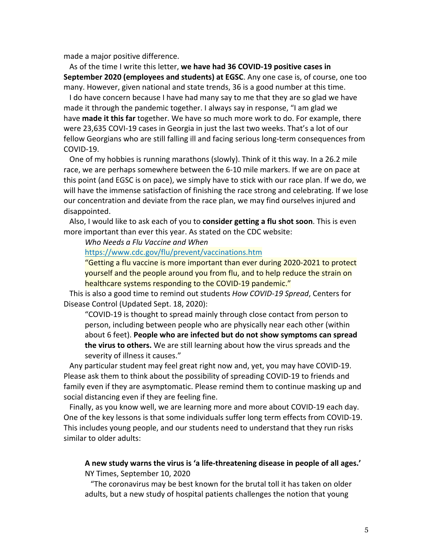made a major positive difference.

As of the time I write this letter, **we have had 36 COVID-19 positive cases in September 2020 (employees and students) at EGSC**. Any one case is, of course, one too many. However, given national and state trends, 36 is a good number at this time.

I do have concern because I have had many say to me that they are so glad we have made it through the pandemic together. I always say in response, "I am glad we have **made it this far** together. We have so much more work to do. For example, there were 23,635 COVI-19 cases in Georgia in just the last two weeks. That's a lot of our fellow Georgians who are still falling ill and facing serious long-term consequences from COVID-19.

One of my hobbies is running marathons (slowly). Think of it this way. In a 26.2 mile race, we are perhaps somewhere between the 6-10 mile markers. If we are on pace at this point (and EGSC is on pace), we simply have to stick with our race plan. If we do, we will have the immense satisfaction of finishing the race strong and celebrating. If we lose our concentration and deviate from the race plan, we may find ourselves injured and disappointed.

Also, I would like to ask each of you to **consider getting a flu shot soon**. This is even more important than ever this year. As stated on the CDC website:

*Who Needs a Flu Vaccine and When*

https://www.cdc.gov/flu/prevent/vaccinations.htm

"Getting a flu vaccine is more important than ever during 2020-2021 to protect yourself and the people around you from flu, and to help reduce the strain on healthcare systems responding to the COVID-19 pandemic."

This is also a good time to remind out students *How COVID-19 Spread*, Centers for Disease Control (Updated Sept. 18, 2020):

"COVID-19 is thought to spread mainly through close contact from person to person, including between people who are physically near each other (within about 6 feet). **People who are infected but do not show symptoms can spread the virus to others.** We are still learning about how the virus spreads and the severity of illness it causes."

Any particular student may feel great right now and, yet, you may have COVID-19. Please ask them to think about the possibility of spreading COVID-19 to friends and family even if they are asymptomatic. Please remind them to continue masking up and social distancing even if they are feeling fine.

Finally, as you know well, we are learning more and more about COVID-19 each day. One of the key lessons is that some individuals suffer long term effects from COVID-19. This includes young people, and our students need to understand that they run risks similar to older adults:

### **A new study warns the virus is 'a life-threatening disease in people of all ages.'** NY Times, September 10, 2020

"The coronavirus may be best known for the brutal toll it has taken on older adults, but a new study of hospital patients challenges the notion that young